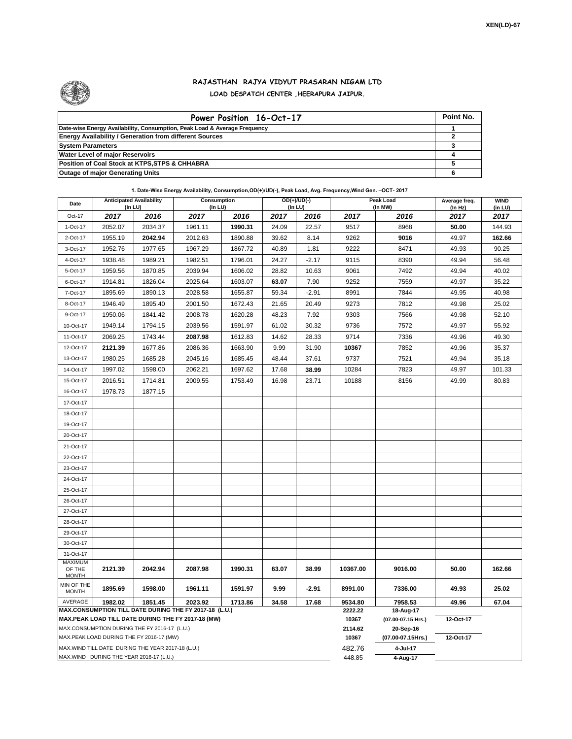

## **RAJASTHAN RAJYA VIDYUT PRASARAN NIGAM LTD LOAD DESPATCH CENTER ,HEERAPURA JAIPUR.**

| Power Position 16-Oct-17                                                  | Point No. |
|---------------------------------------------------------------------------|-----------|
| Date-wise Energy Availability, Consumption, Peak Load & Average Frequency |           |
| <b>Energy Availability / Generation from different Sources</b>            |           |
| <b>System Parameters</b>                                                  |           |
| <b>Water Level of major Reservoirs</b>                                    |           |
| Position of Coal Stock at KTPS, STPS & CHHABRA                            |           |
| <b>Outage of major Generating Units</b>                                   |           |

**1. Date-Wise Energy Availability, Consumption,OD(+)/UD(-), Peak Load, Avg. Frequency,Wind Gen. –OCT- 2017**

| Date                                     | <b>Anticipated Availability</b><br>$($ In LU $)$ |                                                   | Consumption<br>(In LU)                                                                                       |         |       | OD(+)/UD(-)<br>(In LU) |                  | Peak Load<br>(In MW)            | Average freq.<br>(In Hz) | <b>WIND</b><br>(in LU) |
|------------------------------------------|--------------------------------------------------|---------------------------------------------------|--------------------------------------------------------------------------------------------------------------|---------|-------|------------------------|------------------|---------------------------------|--------------------------|------------------------|
| Oct-17                                   | 2017                                             | 2016                                              | 2017                                                                                                         | 2016    | 2017  | 2016                   | 2017             | 2016                            | 2017                     | 2017                   |
| 1-Oct-17                                 | 2052.07                                          | 2034.37                                           | 1961.11                                                                                                      | 1990.31 | 24.09 | 22.57                  | 9517             | 8968                            | 50.00                    | 144.93                 |
| 2-Oct-17                                 | 1955.19                                          | 2042.94                                           | 2012.63                                                                                                      | 1890.88 | 39.62 | 8.14                   | 9262             | 9016                            | 49.97                    | 162.66                 |
| 3-Oct-17                                 | 1952.76                                          | 1977.65                                           | 1967.29                                                                                                      | 1867.72 | 40.89 | 1.81                   | 9222             | 8471                            | 49.93                    | 90.25                  |
| 4-Oct-17                                 | 1938.48                                          | 1989.21                                           | 1982.51                                                                                                      | 1796.01 | 24.27 | $-2.17$                | 9115             | 8390                            | 49.94                    | 56.48                  |
| 5-Oct-17                                 | 1959.56                                          | 1870.85                                           | 2039.94                                                                                                      | 1606.02 | 28.82 | 10.63                  | 9061             | 7492                            | 49.94                    | 40.02                  |
| 6-Oct-17                                 | 1914.81                                          | 1826.04                                           | 2025.64                                                                                                      | 1603.07 | 63.07 | 7.90                   | 9252             | 7559                            | 49.97                    | 35.22                  |
| 7-Oct-17                                 | 1895.69                                          | 1890.13                                           | 2028.58                                                                                                      | 1655.87 | 59.34 | $-2.91$                | 8991             | 7844                            | 49.95                    | 40.98                  |
| 8-Oct-17                                 | 1946.49                                          | 1895.40                                           | 2001.50                                                                                                      | 1672.43 | 21.65 | 20.49                  | 9273             | 7812                            | 49.98                    | 25.02                  |
| 9-Oct-17                                 | 1950.06                                          | 1841.42                                           | 2008.78                                                                                                      | 1620.28 | 48.23 | 7.92                   | 9303             | 7566                            | 49.98                    | 52.10                  |
| 10-Oct-17                                | 1949.14                                          | 1794.15                                           | 2039.56                                                                                                      | 1591.97 | 61.02 | 30.32                  | 9736             | 7572                            | 49.97                    | 55.92                  |
| 11-Oct-17                                | 2069.25                                          | 1743.44                                           | 2087.98                                                                                                      | 1612.83 | 14.62 | 28.33                  | 9714             | 7336                            | 49.96                    | 49.30                  |
| 12-Oct-17                                | 2121.39                                          | 1677.86                                           | 2086.36                                                                                                      | 1663.90 | 9.99  | 31.90                  | 10367            | 7852                            | 49.96                    | 35.37                  |
| 13-Oct-17                                | 1980.25                                          | 1685.28                                           | 2045.16                                                                                                      | 1685.45 | 48.44 | 37.61                  | 9737             | 7521                            | 49.94                    | 35.18                  |
| 14-Oct-17                                | 1997.02                                          | 1598.00                                           | 2062.21                                                                                                      | 1697.62 | 17.68 | 38.99                  | 10284            | 7823                            | 49.97                    | 101.33                 |
| 15-Oct-17                                | 2016.51                                          | 1714.81                                           | 2009.55                                                                                                      | 1753.49 | 16.98 | 23.71                  | 10188            | 8156                            | 49.99                    | 80.83                  |
| 16-Oct-17                                | 1978.73                                          | 1877.15                                           |                                                                                                              |         |       |                        |                  |                                 |                          |                        |
| 17-Oct-17                                |                                                  |                                                   |                                                                                                              |         |       |                        |                  |                                 |                          |                        |
| 18-Oct-17                                |                                                  |                                                   |                                                                                                              |         |       |                        |                  |                                 |                          |                        |
| 19-Oct-17                                |                                                  |                                                   |                                                                                                              |         |       |                        |                  |                                 |                          |                        |
| 20-Oct-17                                |                                                  |                                                   |                                                                                                              |         |       |                        |                  |                                 |                          |                        |
| 21-Oct-17                                |                                                  |                                                   |                                                                                                              |         |       |                        |                  |                                 |                          |                        |
| 22-Oct-17                                |                                                  |                                                   |                                                                                                              |         |       |                        |                  |                                 |                          |                        |
| 23-Oct-17                                |                                                  |                                                   |                                                                                                              |         |       |                        |                  |                                 |                          |                        |
| 24-Oct-17                                |                                                  |                                                   |                                                                                                              |         |       |                        |                  |                                 |                          |                        |
| 25-Oct-17                                |                                                  |                                                   |                                                                                                              |         |       |                        |                  |                                 |                          |                        |
| 26-Oct-17                                |                                                  |                                                   |                                                                                                              |         |       |                        |                  |                                 |                          |                        |
| 27-Oct-17                                |                                                  |                                                   |                                                                                                              |         |       |                        |                  |                                 |                          |                        |
| 28-Oct-17                                |                                                  |                                                   |                                                                                                              |         |       |                        |                  |                                 |                          |                        |
| 29-Oct-17                                |                                                  |                                                   |                                                                                                              |         |       |                        |                  |                                 |                          |                        |
| 30-Oct-17                                |                                                  |                                                   |                                                                                                              |         |       |                        |                  |                                 |                          |                        |
| 31-Oct-17                                |                                                  |                                                   |                                                                                                              |         |       |                        |                  |                                 |                          |                        |
| <b>MAXIMUM</b><br>OF THE<br><b>MONTH</b> | 2121.39                                          | 2042.94                                           | 2087.98                                                                                                      | 1990.31 | 63.07 | 38.99                  | 10367.00         | 9016.00                         | 50.00                    | 162.66                 |
| MIN OF THE<br><b>MONTH</b>               | 1895.69                                          | 1598.00                                           | 1961.11                                                                                                      | 1591.97 | 9.99  | $-2.91$                | 8991.00          | 7336.00                         | 49.93                    | 25.02                  |
| AVERAGE                                  | 1982.02                                          | 1851.45                                           | 2023.92                                                                                                      | 1713.86 | 34.58 | 17.68                  | 9534.80          | 7958.53                         | 49.96                    | 67.04                  |
|                                          |                                                  |                                                   | MAX.CONSUMPTION TILL DATE DURING THE FY 2017-18 (L.U.)<br>MAX.PEAK LOAD TILL DATE DURING THE FY 2017-18 (MW) |         |       |                        | 2222.22<br>10367 | 18-Aug-17<br>(07.00-07.15 Hrs.) | 12-Oct-17                |                        |
|                                          |                                                  | MAX.CONSUMPTION DURING THE FY 2016-17 (L.U.)      |                                                                                                              |         |       |                        | 2114.62          | 20-Sep-16                       |                          |                        |
|                                          |                                                  | MAX.PEAK LOAD DURING THE FY 2016-17 (MW)          |                                                                                                              |         |       |                        | 10367            | (07.00-07.15Hrs.)               | 12-Oct-17                |                        |
|                                          |                                                  | MAX.WIND TILL DATE DURING THE YEAR 2017-18 (L.U.) |                                                                                                              |         |       |                        | 482.76           | 4-Jul-17                        |                          |                        |
|                                          |                                                  | MAX.WIND DURING THE YEAR 2016-17 (L.U.)           |                                                                                                              |         |       |                        | 448.85           | 4-Aug-17                        |                          |                        |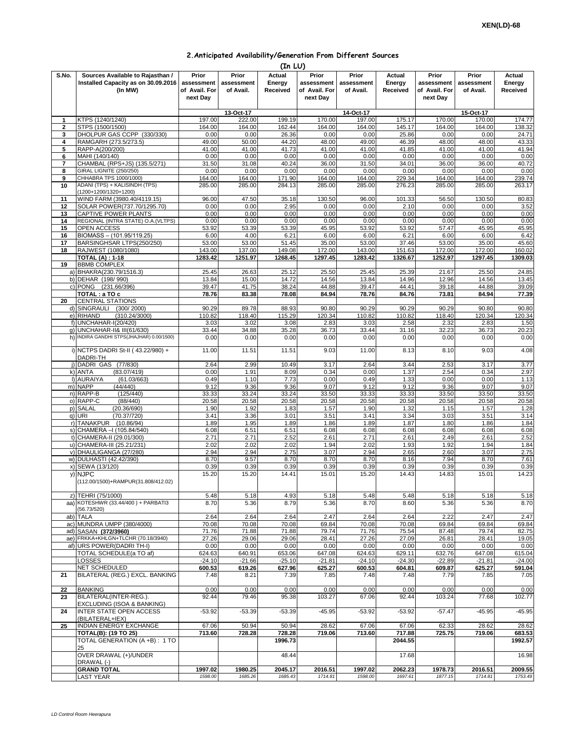| 2. Anticipated Availability/Generation From Different Sources |  |  |  |  |  |
|---------------------------------------------------------------|--|--|--|--|--|
|---------------------------------------------------------------|--|--|--|--|--|

|              |                                                                                    |                                                  |                                  | (In LU)                      |                                                  |                                  |                              |                                                  |                                  |                              |
|--------------|------------------------------------------------------------------------------------|--------------------------------------------------|----------------------------------|------------------------------|--------------------------------------------------|----------------------------------|------------------------------|--------------------------------------------------|----------------------------------|------------------------------|
| S.No.        | Sources Available to Rajasthan /<br>Installed Capacity as on 30.09.2016<br>(In MW) | Prior<br>assessment<br>of Avail. For<br>next Day | Prior<br>assessment<br>of Avail. | Actual<br>Energy<br>Received | Prior<br>assessment<br>of Avail. For<br>next Day | Prior<br>assessment<br>of Avail. | Actual<br>Energy<br>Received | Prior<br>assessment<br>of Avail. For<br>next Day | Prior<br>assessment<br>of Avail. | Actual<br>Energy<br>Received |
|              |                                                                                    |                                                  | 13-Oct-17                        |                              |                                                  | 14-Oct-17                        |                              |                                                  | 15-Oct-17                        |                              |
| 1            | KTPS (1240/1240)                                                                   | 197.00                                           | 222.00                           | 199.19                       | 170.00                                           | 197.00                           | 175.17                       | 170.00                                           | 170.00                           | 174.77                       |
| $\mathbf{2}$ | STPS (1500/1500)                                                                   | 164.00                                           | 164.00                           | 162.44                       | 164.00                                           | 164.00                           | 145.17                       | 164.00                                           | 164.00                           | 138.32                       |
| 3<br>4       | DHOLPUR GAS CCPP (330/330)<br>RAMGARH (273.5/273.5)                                | 0.00<br>49.00                                    | 0.00<br>50.00                    | 26.36<br>44.20               | 0.00<br>48.00                                    | 0.00<br>49.00                    | 25.86<br>46.39               | 0.00<br>48.00                                    | 0.00<br>48.00                    | 24.71<br>43.33               |
| 5            | RAPP-A(200/200)                                                                    | 41.00                                            | 41.00                            | 41.73                        | 41.00                                            | 41.00                            | 41.85                        | 41.00                                            | 41.00                            | 41.94                        |
| 6            | MAHI (140/140)                                                                     | 0.00                                             | 0.00                             | 0.00                         | 0.00                                             | 0.00                             | 0.00                         | 0.00                                             | 0.00                             | 0.00                         |
| 7            | CHAMBAL (RPS+JS) (135.5/271)                                                       | 31.50                                            | 31.08                            | 40.24                        | 36.00                                            | 31.50                            | 34.01                        | 36.00                                            | 36.00                            | 40.72                        |
| 8            | GIRAL LIGNITE (250/250)                                                            | 0.00                                             | 0.00                             | 0.00                         | 0.00                                             | 0.00                             | 0.00                         | 0.00                                             | 0.00                             | 0.00                         |
| 9            | CHHABRA TPS 1000/1000)<br>ADANI (TPS) + KALISINDH (TPS)                            | 164.00                                           | 164.00<br>285.00                 | 171.90<br>284.13             | 164.00<br>285.00                                 | 164.00                           | 229.34                       | 164.00                                           | 164.00                           | 239.74                       |
| 10           | (1200+1200/1320+1200)                                                              | 285.00                                           |                                  |                              |                                                  | 285.00                           | 276.23                       | 285.00                                           | 285.00                           | 263.17                       |
| 11           | WIND FARM (3980.40/4119.15)                                                        | 96.00                                            | 47.50                            | 35.18                        | 130.50                                           | 96.00                            | 101.33                       | 56.50                                            | 130.50                           | 80.83                        |
| 12           | SOLAR POWER(737.70/1295.70)                                                        | 0.00                                             | 0.00                             | 2.95                         | 0.00                                             | 0.00                             | 2.10                         | 0.00                                             | 0.00                             | 3.52                         |
| 13           | CAPTIVE POWER PLANTS                                                               | 0.00                                             | 0.00                             | 0.00                         | 0.00                                             | 0.00                             | 0.00                         | 0.00                                             | 0.00                             | 0.00                         |
| 14           | REGIONAL (INTRA STATE) O.A.(VLTPS)                                                 | 0.00                                             | 0.00                             | 0.00                         | 0.00                                             | 0.00                             | 0.00                         | 0.00                                             | 0.00                             | 0.00                         |
| 15           | OPEN ACCESS                                                                        | 53.92                                            | 53.39                            | 53.39                        | 45.95                                            | 53.92                            | 53.92                        | 57.47                                            | 45.95                            | 45.95                        |
| 16<br>17     | BIOMASS - (101.95/119.25)<br>BARSINGHSAR LTPS(250/250)                             | 6.00<br>53.00                                    | 4.00<br>53.00                    | 6.21<br>51.45                | 6.00<br>35.00                                    | 6.00<br>53.00                    | 6.21<br>37.46                | 6.00<br>53.00                                    | 6.00<br>35.00                    | 6.42<br>45.60                |
| 18           | RAJWEST (1080/1080)                                                                | 143.00                                           | 137.00                           | 149.08                       | 172.00                                           | 143.00                           | 151.63                       | 172.00                                           | 172.00                           | 160.02                       |
|              | <b>TOTAL (A): 1-18</b>                                                             | 1283.42                                          | 1251.97                          | 1268.45                      | 1297.45                                          | 1283.42                          | 1326.67                      | 1252.97                                          | 1297.45                          | 1309.03                      |
| 19           | <b>BBMB COMPLEX</b>                                                                |                                                  |                                  |                              |                                                  |                                  |                              |                                                  |                                  |                              |
|              | a) BHAKRA(230.79/1516.3)                                                           | 25.45                                            | 26.63                            | 25.12                        | 25.50                                            | 25.45                            | 25.39                        | 21.67                                            | 25.50                            | 24.85                        |
|              | b) DEHAR (198/990)                                                                 | 13.84                                            | 15.00                            | 14.72                        | 14.56                                            | 13.84                            | 14.96                        | 12.96                                            | 14.56                            | 13.45                        |
|              | c) PONG (231.66/396)                                                               | 39.47                                            | 41.75                            | 38.24                        | 44.88                                            | 39.47                            | 44.41                        | 39.18                                            | 44.88                            | 39.09                        |
| 20           | TOTAL : a TO c<br><b>CENTRAL STATIONS</b>                                          | 78.76                                            | 83.38                            | 78.08                        | 84.94                                            | 78.76                            | 84.76                        | 73.81                                            | 84.94                            | 77.39                        |
|              | d) SINGRAULI (300/2000)                                                            | 90.29                                            | 89.78                            | 88.93                        | 90.80                                            | 90.29                            | 90.29                        | 90.29                                            | 90.80                            | 90.80                        |
|              | e) RIHAND<br>(310.24/3000)                                                         | 110.82                                           | 118.40                           | 115.29                       | 120.34                                           | 110.82                           | 110.82                       | 118.40                                           | 120.34                           | 120.34                       |
|              | f) UNCHAHAR-I(20/420)                                                              | 3.03                                             | 3.02                             | 3.08                         | 2.83                                             | 3.03                             | 2.58                         | 2.32                                             | 2.83                             | 1.50                         |
|              | g) UNCHAHAR-II& III(61/630)                                                        | 33.44                                            | 34.88                            | 35.28                        | 36.73                                            | 33.44                            | 31.16                        | 32.23                                            | 36.73                            | 20.23                        |
|              | h) INDIRA GANDHI STPS(JHAJHAR) 0.00/1500)                                          | 0.00                                             | 0.00                             | 0.00                         | 0.00                                             | 0.00                             | 0.00                         | 0.00                                             | 0.00                             | 0.00                         |
|              | i) NCTPS DADRI St-II (43.22/980) +<br>DADRI-TH                                     | 11.00                                            | 11.51                            | 11.51                        | 9.03                                             | 11.00                            | 8.13                         | 8.10                                             | 9.03                             | 4.08                         |
|              | i) DADRI GAS (77/830)                                                              | 2.64                                             | 2.99                             | 10.49                        | 3.17                                             | 2.64                             | 3.44                         | 2.53                                             | 3.17                             | 3.77                         |
|              | k) ANTA<br>(83.07/419)                                                             | 0.00                                             | 1.91                             | 8.09                         | 0.34                                             | 0.00                             | 1.37                         | 2.54                                             | 0.34                             | 2.97                         |
|              | (61.03/663)<br>I) AURAIYA                                                          | 0.49                                             | 1.10                             | 7.73                         | 0.00                                             | 0.49                             | 1.33                         | 0.00                                             | 0.00                             | 1.13                         |
|              | m) NAPP<br>(44/440)<br>(125/440)                                                   | 9.12<br>33.33                                    | 9.36                             | 9.36                         | 9.07                                             | 9.12                             | 9.12                         | 9.36                                             | 9.07                             | 9.07                         |
|              | n) RAPP-B<br>o) RAPP-C<br>(88/440)                                                 | 20.58                                            | 33.24<br>20.58                   | 33.24<br>20.58               | 33.50<br>20.58                                   | 33.33<br>20.58                   | 33.33<br>20.58               | 33.50<br>20.58                                   | 33.50<br>20.58                   | 33.50<br>20.58               |
|              | p) SALAL<br>(20.36/690)                                                            | 1.90                                             | 1.92                             | 1.83                         | 1.57                                             | 1.90                             | 1.32                         | 1.15                                             | 1.57                             | 1.28                         |
|              | q) URI<br>(70.37/720)                                                              | 3.41                                             | 3.36                             | 3.01                         | 3.51                                             | 3.41                             | 3.34                         | 3.03                                             | 3.51                             | 3.14                         |
|              | r) TANAKPUR<br>(10.86/94)                                                          | 1.89                                             | 1.95                             | 1.89                         | 1.86                                             | 1.89                             | 1.87                         | 1.80                                             | 1.86                             | 1.84                         |
|              | s) CHAMERA - (105.84/540)                                                          | 6.08                                             | 6.51                             | 6.51                         | 6.08                                             | 6.08                             | 6.08                         | 6.08                                             | 6.08                             | 6.08                         |
|              | t) CHAMERA-II (29.01/300)                                                          | 2.71                                             | 2.71                             | 2.52                         | 2.61                                             | 2.71                             | 2.61                         | 2.49                                             | 2.61                             | 2.52                         |
|              | u) CHAMERA-III (25.21/231)<br>v) DHAULIGANGA (27/280)                              | 2.02<br>2.94                                     | 2.02<br>2.94                     | 2.02<br>2.75                 | 1.94<br>3.07                                     | 2.02<br>2.94                     | 1.93<br>2.65                 | 1.92<br>2.60                                     | 1.94<br>3.07                     | 1.84<br>2.75                 |
|              | w) DULHASTI (42.42/390)                                                            | 8.70                                             | 9.57                             | 8.70                         | 8.70                                             | 8.70                             | 8.16                         | 7.94                                             | 8.70                             | 7.61                         |
|              | x) SEWA (13/120)                                                                   | 0.39                                             | 0.39                             | 0.39                         | 0.39                                             | 0.39                             | 0.39                         | 0.39                                             | 0.39                             | 0.39                         |
|              | y) NJPC<br>(112.00/1500)+RAMPUR(31.808/412.02)                                     | 15.20                                            | 15.20                            | 14.41                        | 15.01                                            | 15.20                            | 14.43                        | 14.83                                            | 15.01                            | 14.23                        |
|              | z) TEHRI (75/1000)                                                                 | 5.48                                             | 5.18                             | 4.93                         | 5.18                                             | 5.48                             | 5.48                         | 5.18                                             | 5.18                             | 5.18                         |
|              | aa) KOTESHWR (33.44/400) + PARBATI3                                                | 8.70                                             | 5.36                             | 8.79                         | 5.36                                             | 8.70                             | 8.60                         | 5.36                                             | 5.36                             | 8.70                         |
|              | (56.73/520)                                                                        |                                                  |                                  |                              |                                                  |                                  |                              |                                                  |                                  |                              |
|              | ab) TALA<br>ac) MUNDRA UMPP (380/4000)                                             | 2.64                                             | 2.64<br>70.08                    | 2.64                         | 2.47                                             | 2.64                             | 2.64                         | 2.22                                             | 2.47                             | 2.47                         |
|              | ad) SASAN (372/3960)                                                               | 70.08<br>71.76                                   | 71.88                            | 70.08<br>71.88               | 69.84<br>79.74                                   | 70.08<br>71.76                   | 70.08<br>75.54               | 69.84<br>87.48                                   | 69.84<br>79.74                   | 69.84<br>82.75               |
|              | ae) FRKKA+KHLGN+TLCHR (70.18/3940)                                                 | 27.26                                            | 29.06                            | 29.06                        | 28.41                                            | 27.26                            | 27.09                        | 26.81                                            | 28.41                            | 19.05                        |
|              | af) URS POWER(DADRI TH-I)                                                          | 0.00                                             | 0.00                             | 0.00                         | 0.00                                             | 0.00                             | 0.00                         | 0.00                                             | 0.00                             | 0.00                         |
|              | TOTAL SCHEDULE(a TO af)                                                            | 624.63                                           | 640.91                           | 653.06                       | 647.08                                           | 624.63                           | 629.11                       | 632.76                                           | 647.08                           | 615.04                       |
|              | LOSSES                                                                             | $-24.10$                                         | $-21.66$                         | $-25.10$                     | $-21.81$                                         | $-24.10$                         | $-24.30$                     | $-22.89$                                         | $-21.81$                         | $-24.00$                     |
|              | <b>NET SCHEDULED</b>                                                               | 600.53                                           | 619.26                           | 627.96                       | 625.27                                           | 600.53                           | 604.81                       | 609.87                                           | 625.27                           | 591.04<br>7.05               |
| 21           | BILATERAL (REG.) EXCL. BANKING                                                     | 7.48                                             | 8.21                             | 7.39                         | 7.85                                             | 7.48                             | 7.48                         | 7.79                                             | 7.85                             |                              |
| 22           | <b>BANKING</b>                                                                     | 0.00                                             | 0.00                             | 0.00                         | 0.00                                             | 0.00                             | 0.00                         | 0.00                                             | 0.00                             | 0.00                         |
| 23           | BILATERAL(INTER-REG.).<br>EXCLUDING (ISOA & BANKING)                               | 92.44                                            | 79.46                            | 95.38                        | 103.27                                           | 67.06                            | 92.44                        | 103.24                                           | 77.68                            | 102.77                       |
| 24           | <b>INTER STATE OPEN ACCESS</b><br>(BILATERAL+IEX)                                  | $-53.92$                                         | $-53.39$                         | $-53.39$                     | $-45.95$                                         | $-53.92$                         | $-53.92$                     | $-57.47$                                         | $-45.95$                         | $-45.95$                     |
| 25           | INDIAN ENERGY EXCHANGE                                                             | 67.06                                            | 50.94                            | 50.94                        | 28.62                                            | 67.06                            | 67.06                        | 62.33                                            | 28.62                            | 28.62                        |
|              | <b>TOTAL(B): (19 TO 25)</b>                                                        | 713.60                                           | 728.28                           | 728.28                       | 719.06                                           | 713.60                           | 717.88                       | 725.75                                           | 719.06                           | 683.53                       |
|              | TOTAL GENERATION (A +B) : 1 TO<br>25                                               |                                                  |                                  | 1996.73                      |                                                  |                                  | 2044.55                      |                                                  |                                  | 1992.57                      |
|              | OVER DRAWAL (+)/UNDER<br>DRAWAL (-)                                                |                                                  |                                  | 48.44                        |                                                  |                                  | 17.68                        |                                                  |                                  | 16.98                        |
|              | <b>GRAND TOTAL</b>                                                                 | 1997.02                                          | 1980.25                          | 2045.17                      | 2016.51                                          | 1997.02                          | 2062.23                      | 1978.73                                          | 2016.51                          | 2009.55                      |
|              | <b>LAST YEAR</b>                                                                   | 1598.00                                          | 1685.26                          | 1685.43                      | 1714.81                                          | 1598.00                          | 1697.61                      | 1877.15                                          | 1714.81                          | 1753.49                      |